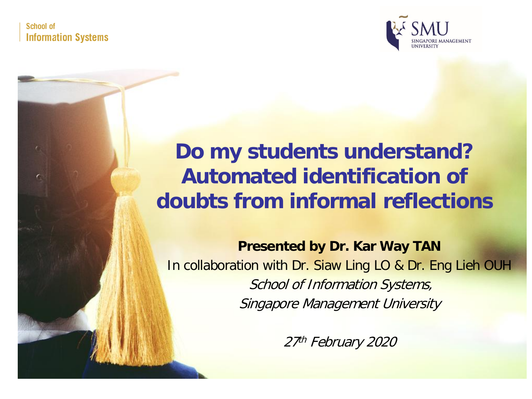School of **Information Systems** 



## **Do my students understand? Automated identification of doubts from informal reflections**

**Presented by Dr. Kar Way TAN** In collaboration with Dr. Siaw Ling LO & Dr. Eng Lieh OUH School of Information Systems, Singapore Management University

27th February 2020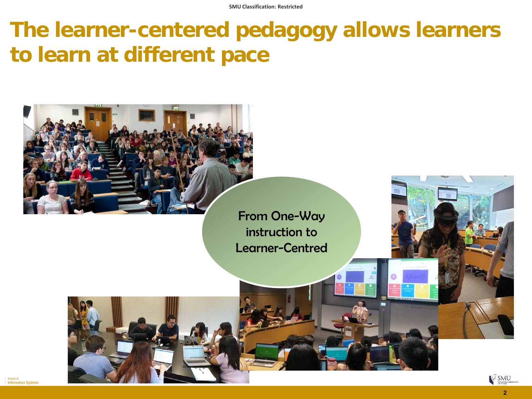## **The learner-centered pedagogy allows learners to learn at different pace**

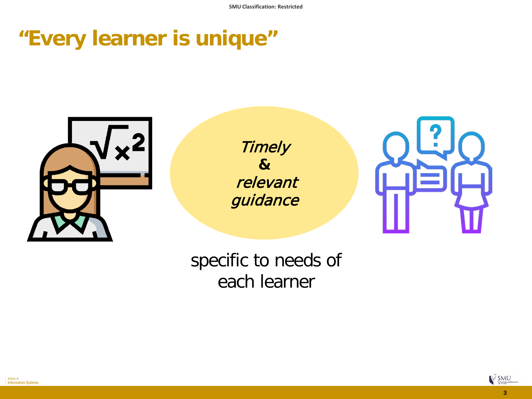## **"Every learner is unique"**



**Timely &** relevant guidance



#### specific to needs of each learner



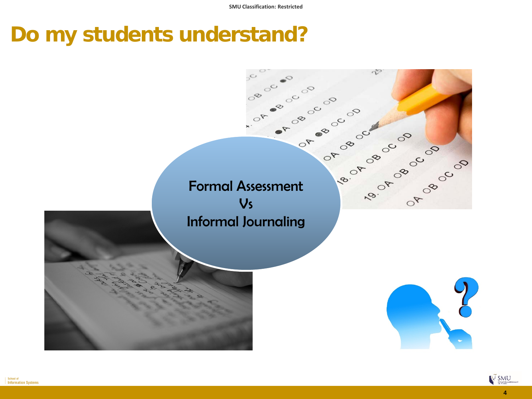## **Do my students understand?**



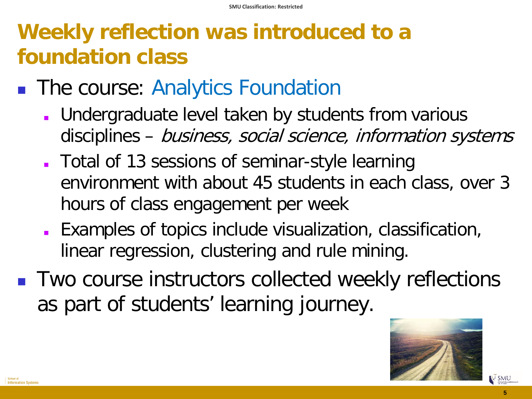# **Weekly reflection was introduced to a foundation class**

- **The course: Analytics Foundation** 
	- **Undergraduate level taken by students from various** disciplines – business, social science, information systems
	- Total of 13 sessions of seminar-style learning environment with about 45 students in each class, over 3 hours of class engagement per week
	- Examples of topics include visualization, classification, linear regression, clustering and rule mining.
- Two course instructors collected weekly reflections as part of students' learning journey.



 $\times$  SMU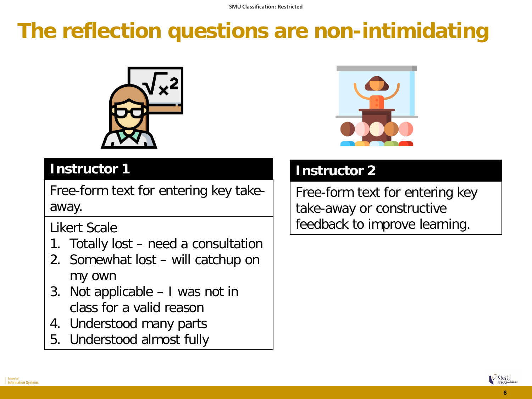# **The reflection questions are non-intimidating**



#### **Instructor 1**

Free-form text for entering key takeaway.

Likert Scale

- 1. Totally lost need a consultation
- 2. Somewhat lost will catchup on my own
- 3. Not applicable I was not in class for a valid reason
- 4. Understood many parts
- 5. Understood almost fully



#### **Instructor 2**

Free-form text for entering key take-away or constructive feedback to improve learning.

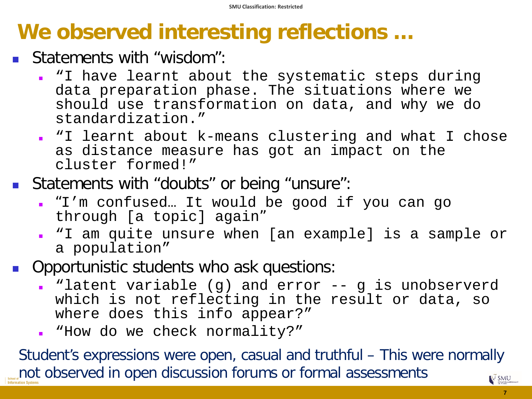## **We observed interesting reflections …**

- **Statements with "wisdom":** 
	- "I have learnt about the systematic steps during data preparation phase. The situations where we should use transformation on data, and why we do standardization."
	- "I learnt about k-means clustering and what I chose as distance measure has got an impact on the cluster formed!"
- **Statements with "doubts" or being "unsure":** 
	- "I'm confused… It would be good if you can go through [a topic] again"
	- "I am quite unsure when [an example] is a sample or a population"
- Opportunistic students who ask questions:
	- . "latent variable (q) and error -- q is unobserverd which is not reflecting in the result or data, so where does this info appear?"
	- "How do we check normality?"

Student's expressions were open, casual and truthful – This were normally not observed in open discussion forums or formal assessments**EX SMU**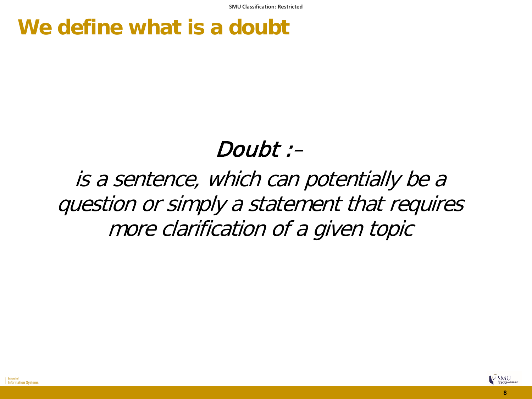## **We define what is a doubt**

## Doubt :–

is a sentence, which can potentially be a question or simply a statement that requires more clarification of a given topic

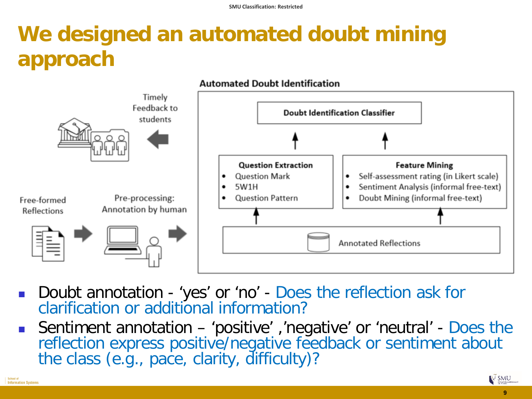# **We designed an automated doubt mining approach**



- Doubt annotation 'yes' or 'no' Does the reflection ask for clarification or additional information?
- Sentiment annotation 'positive' ,'negative' or 'neutral' Does the reflection express positive/negative feedback or sentiment about the class (e.g., pace, clarity, difficulty)?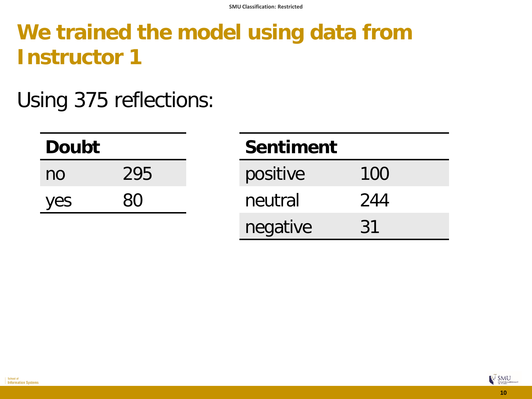# **We trained the model using data from Instructor 1**

## Using 375 reflections:

| <b>Doubt</b> |     | <b>Sentiment</b> |           |
|--------------|-----|------------------|-----------|
| no           | 295 | positive         | 100       |
| yes          | 80  | neutral          | 244       |
|              |     | negative         | <u>31</u> |

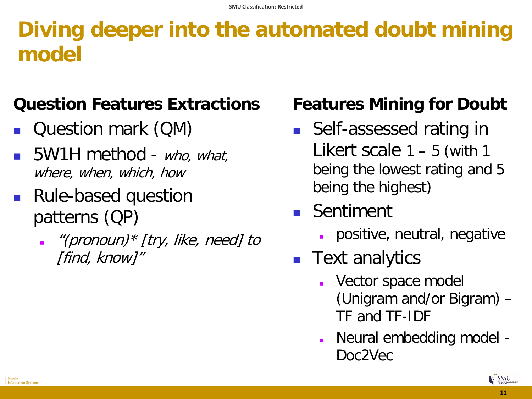## **Diving deeper into the automated doubt mining model**

#### **Question Features Extractions**

- Question mark (QM)
- 5W1H method who, what, where, when, which, how
- Rule-based question patterns (QP)
	- . "(pronoun)\* [try, like, need] to [find, know]"

### **Features Mining for Doubt**

- Self-assessed rating in Likert scale  $1 - 5$  (with 1 being the lowest rating and 5 being the highest)
- **Sentiment** 
	- positive, neutral, negative
- **Text analytics** 
	- Vector space model (Unigram and/or Bigram) – TF and TF-IDF
	- Neural embedding model Doc2Vec

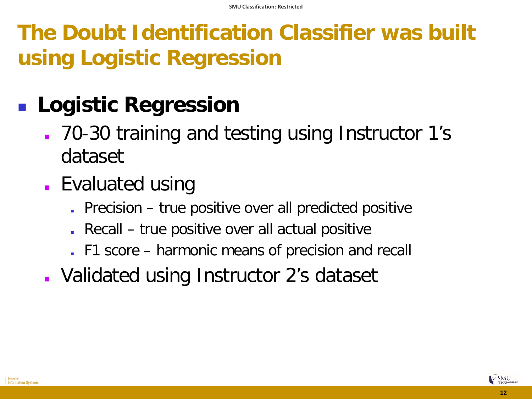**The Doubt Identification Classifier was built using Logistic Regression**

# **Logistic Regression**

- 70-30 training and testing using Instructor 1's dataset
- **Evaluated using** 
	- Precision true positive over all predicted positive
	- Recall true positive over all actual positive
	- F1 score harmonic means of precision and recall
- Validated using Instructor 2's dataset

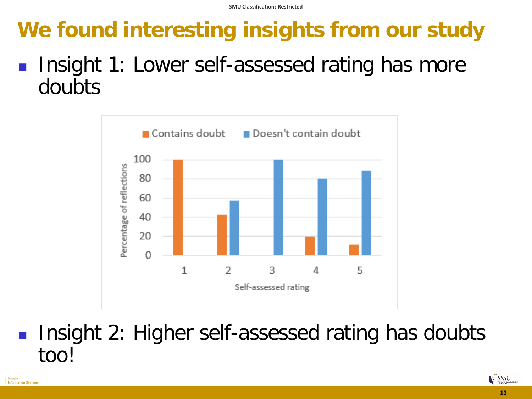# **We found interesting insights from our study**

 Insight 1: Lower self-assessed rating has more doubts



 Insight 2: Higher self-assessed rating has doubts too!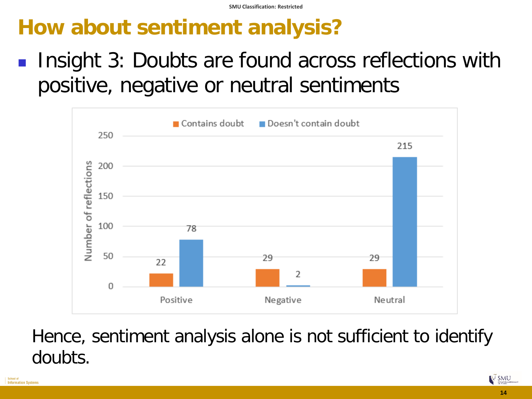# **How about sentiment analysis?**

 Insight 3: Doubts are found across reflections with positive, negative or neutral sentiments



### Hence, sentiment analysis alone is not sufficient to identify doubts.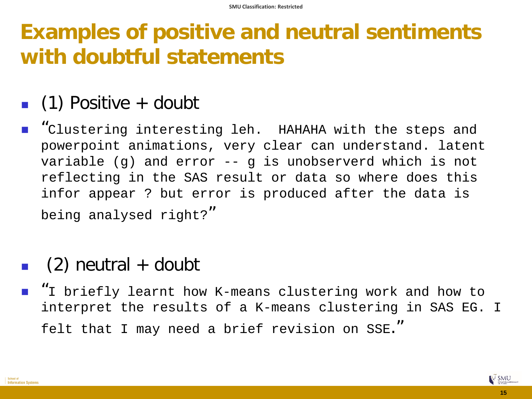## **Examples of positive and neutral sentiments with doubtful statements**

### $\blacksquare$  (1) Positive + doubt

**"**Clustering interesting leh. HAHAHA with the steps and powerpoint animations, very clear can understand. latent variable (g) and error -- g is unobserverd which is not reflecting in the SAS result or data so where does this infor appear ? but error is produced after the data is being analysed right?"

### $\Box$  (2) neutral + doubt

■ "I briefly learnt how K-means clustering work and how to interpret the results of a K-means clustering in SAS EG. I felt that I may need a brief revision on SSE."



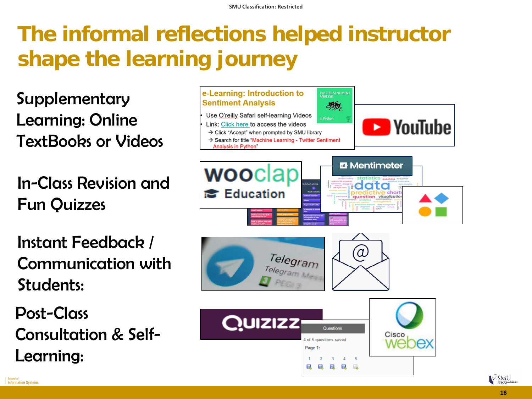# **The informal reflections helped instructor shape the learning journey**

**Supplementary** Learning: Online TextBooks or Videos

In-Class Revision and Fun Quizzes

Instant Feedback / Communication with Students:

Post-Class Consultation & Self-Learning:



**EX SMU**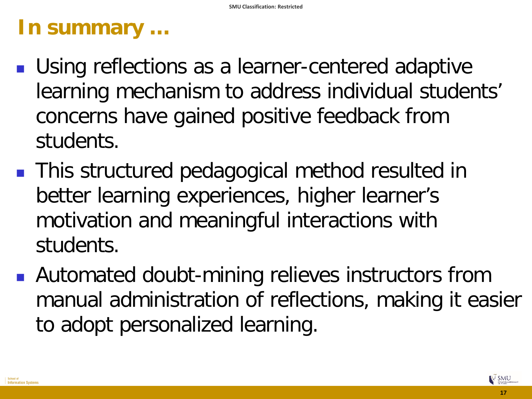## **In summary …**

- Using reflections as a learner-centered adaptive learning mechanism to address individual students' concerns have gained positive feedback from students.
- **This structured pedagogical method resulted in** better learning experiences, higher learner's motivation and meaningful interactions with students.
- **Automated doubt-mining relieves instructors from** manual administration of reflections, making it easier to adopt personalized learning.